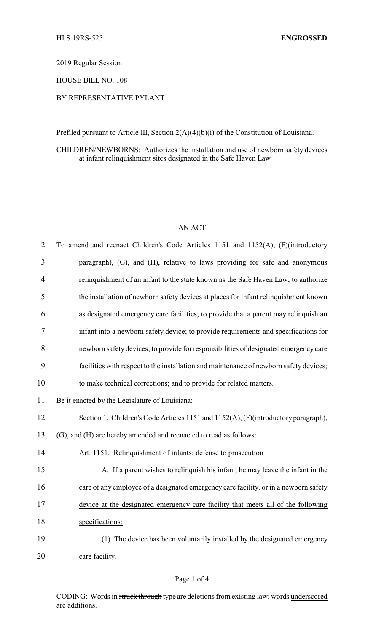2019 Regular Session

HOUSE BILL NO. 108

## BY REPRESENTATIVE PYLANT

Prefiled pursuant to Article III, Section 2(A)(4)(b)(i) of the Constitution of Louisiana.

CHILDREN/NEWBORNS: Authorizes the installation and use of newborn safety devices at infant relinquishment sites designated in the Safe Haven Law

| $\mathbf{1}$   | <b>AN ACT</b>                                                                          |
|----------------|----------------------------------------------------------------------------------------|
| $\overline{2}$ | To amend and reenact Children's Code Articles 1151 and 1152(A), (F)(introductory       |
| 3              | paragraph), (G), and (H), relative to laws providing for safe and anonymous            |
| $\overline{4}$ | relinquishment of an infant to the state known as the Safe Haven Law; to authorize     |
| 5              | the installation of newborn safety devices at places for infant relinquishment known   |
| 6              | as designated emergency care facilities; to provide that a parent may relinquish an    |
| 7              | infant into a newborn safety device; to provide requirements and specifications for    |
| 8              | newborn safety devices; to provide for responsibilities of designated emergency care   |
| 9              | facilities with respect to the installation and maintenance of newborn safety devices; |
| 10             | to make technical corrections; and to provide for related matters.                     |
| 11             | Be it enacted by the Legislature of Louisiana:                                         |
| 12             | Section 1. Children's Code Articles 1151 and 1152(A), (F)(introductory paragraph),     |
| 13             | (G), and (H) are hereby amended and reenacted to read as follows:                      |
| 14             | Art. 1151. Relinquishment of infants; defense to prosecution                           |
| 15             | A. If a parent wishes to relinquish his infant, he may leave the infant in the         |
| 16             | care of any employee of a designated emergency care facility. or in a newborn safety   |
| 17             | device at the designated emergency care facility that meets all of the following       |
| 18             | specifications:                                                                        |
| 19             | The device has been voluntarily installed by the designated emergency<br>(1)           |
| 20             | care facility.                                                                         |

## Page 1 of 4

CODING: Words in struck through type are deletions from existing law; words underscored are additions.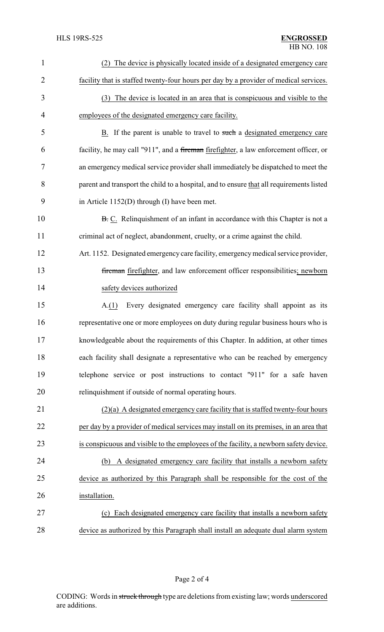| $\mathbf{1}$   | The device is physically located inside of a designated emergency care<br>(2)            |
|----------------|------------------------------------------------------------------------------------------|
| $\overline{2}$ | facility that is staffed twenty-four hours per day by a provider of medical services.    |
| 3              | (3) The device is located in an area that is conspicuous and visible to the              |
| 4              | employees of the designated emergency care facility.                                     |
| 5              | B. If the parent is unable to travel to such a designated emergency care                 |
| 6              | facility, he may call "911", and a fireman firefighter, a law enforcement officer, or    |
| 7              | an emergency medical service provider shall immediately be dispatched to meet the        |
| 8              | parent and transport the child to a hospital, and to ensure that all requirements listed |
| 9              | in Article $1152(D)$ through (I) have been met.                                          |
| 10             | B. C. Relinquishment of an infant in accordance with this Chapter is not a               |
| 11             | criminal act of neglect, abandonment, cruelty, or a crime against the child.             |
| 12             | Art. 1152. Designated emergency care facility, emergency medical service provider,       |
| 13             | fireman firefighter, and law enforcement officer responsibilities; newborn               |
| 14             | safety devices authorized                                                                |
| 15             | Every designated emergency care facility shall appoint as its<br>A(1)                    |
| 16             | representative one or more employees on duty during regular business hours who is        |
| 17             | knowledgeable about the requirements of this Chapter. In addition, at other times        |
| 18             | each facility shall designate a representative who can be reached by emergency           |
| 19             | telephone service or post instructions to contact "911" for a safe haven                 |
| 20             | relinquishment if outside of normal operating hours.                                     |
| 21             | $(2)(a)$ A designated emergency care facility that is staffed twenty-four hours          |
| 22             | per day by a provider of medical services may install on its premises, in an area that   |
| 23             | is conspicuous and visible to the employees of the facility, a newborn safety device.    |
| 24             | A designated emergency care facility that installs a newborn safety<br>(b)               |
| 25             | device as authorized by this Paragraph shall be responsible for the cost of the          |
| 26             | installation.                                                                            |
| 27             | (c) Each designated emergency care facility that installs a newborn safety               |
| 28             | device as authorized by this Paragraph shall install an adequate dual alarm system       |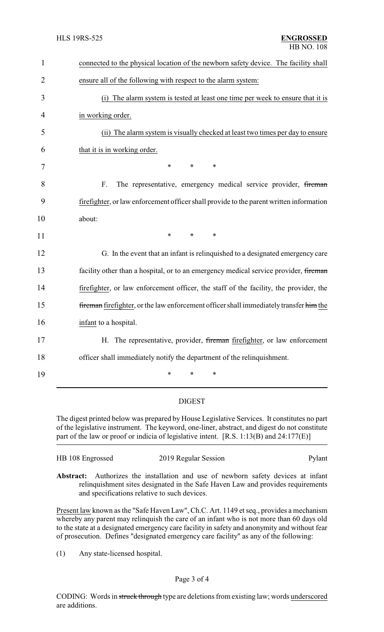| $\mathbf{1}$   | connected to the physical location of the newborn safety device. The facility shall     |
|----------------|-----------------------------------------------------------------------------------------|
| $\overline{2}$ | ensure all of the following with respect to the alarm system:                           |
| 3              | (i) The alarm system is tested at least one time per week to ensure that it is          |
| 4              | in working order.                                                                       |
| 5              | (ii) The alarm system is visually checked at least two times per day to ensure          |
| 6              | that it is in working order.                                                            |
| 7              | $\ast$<br>$\ast$<br>$\ast$                                                              |
| 8              | F.<br>The representative, emergency medical service provider, fireman                   |
| 9              | firefighter, or law enforcement officer shall provide to the parent written information |
| 10             | about:                                                                                  |
| 11             | *<br>$\ast$<br>$\ast$                                                                   |
| 12             | G. In the event that an infant is relinquished to a designated emergency care           |
| 13             | facility other than a hospital, or to an emergency medical service provider, fireman    |
| 14             | firefighter, or law enforcement officer, the staff of the facility, the provider, the   |
| 15             | fireman firefighter, or the law enforcement officer shall immediately transfer him the  |
| 16             | infant to a hospital.                                                                   |
| 17             | H. The representative, provider, fireman firefighter, or law enforcement                |
| 18             | officer shall immediately notify the department of the relinquishment.                  |
| 19             | $\ast$<br>*                                                                             |
|                |                                                                                         |

## DIGEST

The digest printed below was prepared by House Legislative Services. It constitutes no part of the legislative instrument. The keyword, one-liner, abstract, and digest do not constitute part of the law or proof or indicia of legislative intent. [R.S. 1:13(B) and 24:177(E)]

| HB 108 Engrossed | 2019 Regular Session | Pylant |
|------------------|----------------------|--------|
|                  |                      |        |

**Abstract:** Authorizes the installation and use of newborn safety devices at infant relinquishment sites designated in the Safe Haven Law and provides requirements and specifications relative to such devices.

Present law known as the "Safe Haven Law", Ch.C. Art. 1149 et seq., provides a mechanism whereby any parent may relinquish the care of an infant who is not more than 60 days old to the state at a designated emergency care facility in safety and anonymity and without fear of prosecution. Defines "designated emergency care facility" as any of the following:

(1) Any state-licensed hospital.